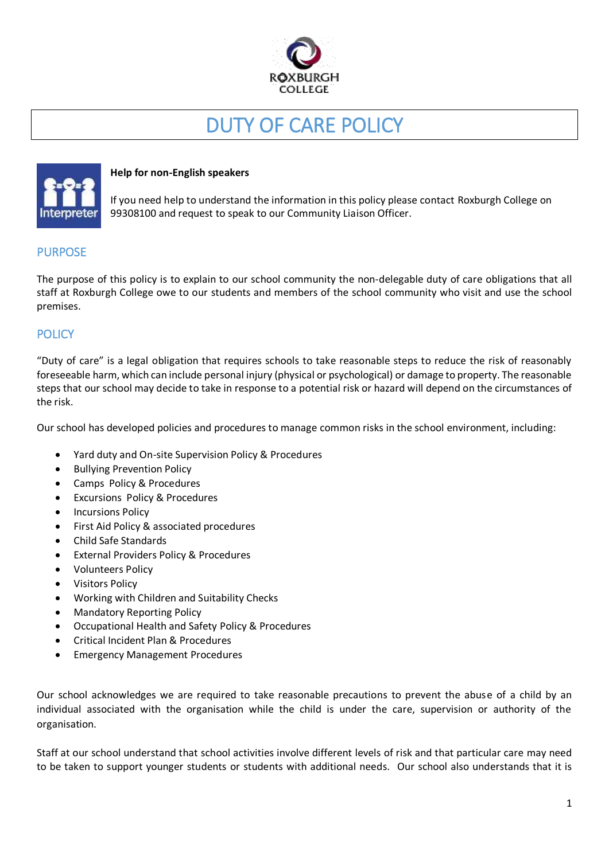

# DUTY OF CARE POLICY



#### **Help for non-English speakers**

If you need help to understand the information in this policy please contact Roxburgh College on 99308100 and request to speak to our Community Liaison Officer.

#### PURPOSE

The purpose of this policy is to explain to our school community the non-delegable duty of care obligations that all staff at Roxburgh College owe to our students and members of the school community who visit and use the school premises.

### POLICY

"Duty of care" is a legal obligation that requires schools to take reasonable steps to reduce the risk of reasonably foreseeable harm, which can include personal injury (physical or psychological) or damage to property. The reasonable steps that our school may decide to take in response to a potential risk or hazard will depend on the circumstances of the risk.

Our school has developed policies and procedures to manage common risks in the school environment, including:

- Yard duty and On-site Supervision Policy & Procedures
- Bullying Prevention Policy
- Camps Policy & Procedures
- Excursions Policy & Procedures
- Incursions Policy
- First Aid Policy & associated procedures
- Child Safe Standards
- External Providers Policy & Procedures
- Volunteers Policy
- Visitors Policy
- Working with Children and Suitability Checks
- Mandatory Reporting Policy
- Occupational Health and Safety Policy & Procedures
- Critical Incident Plan & Procedures
- Emergency Management Procedures

Our school acknowledges we are required to take reasonable precautions to prevent the abuse of a child by an individual associated with the organisation while the child is under the care, supervision or authority of the organisation.

Staff at our school understand that school activities involve different levels of risk and that particular care may need to be taken to support younger students or students with additional needs. Our school also understands that it is